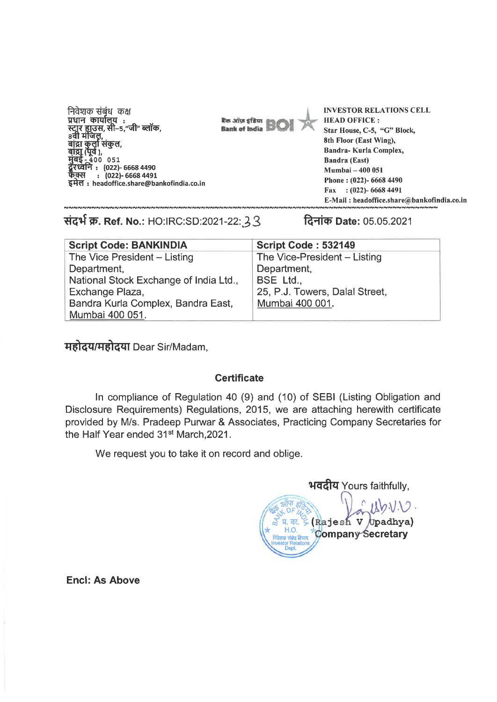निवेशक संबंध कक्ष प्रधान कार्यालूय : न्दार हाउंस, सी–5<br>8वी मंजिल, ."जी" ब्लॉक. बांद्रा कुलो संकुल, द्रा (पूर्व ), 400 051 रध्वनि : (022)- 6668 4490  $(022) - 66684491$ इमेल: headoffice.share@bankofindia.co.in

Eas años efitos **Bank of India**  **INVESTOR RELATIONS CELL HEAD OFFICE:** Star House, C-5, "G" Block, 8th Floor (East Wing), Bandra-Kurla Complex, **Bandra (East)** Mumbai - 400 051 Phone: (022)- 6668 4490 Fax:  $(022)$ -66684491 E-Mail: headoffice.share@bankofindia.co.in

संदर्भ क्र. Ref. No.: HO:IRC:SD:2021-22: 33

दिनांक Date: 05.05.2021

| <b>Script Code: BANKINDIA</b>          | <b>Script Code: 532149</b>     |
|----------------------------------------|--------------------------------|
| The Vice President - Listing           | The Vice-President - Listing   |
| Department,                            | Department,                    |
| National Stock Exchange of India Ltd., | BSE Ltd.,                      |
| Exchange Plaza,                        | 25, P.J. Towers, Dalal Street, |
| Bandra Kurla Complex, Bandra East,     | Mumbai 400 001.                |
| Mumbai 400 051.                        |                                |

**महोदय/महोदया Dear Sir/Madam,** 

## **Certificate**

In compliance of Regulation 40 (9) and (10) of SEBI (Listing Obligation and Disclosure Requirements) Regulations, 2015, we are attaching herewith certificate provided by M/s. Pradeep Purwar & Associates, Practicing Company Secretaries for the Half Year ended 31<sup>st</sup> March, 2021.

We request you to take it on record and oblige.

**भवदीय Yours faithfully,** (Rajesh V Upadhya) HΩ **Company Secretary** 

**Encl: As Above**